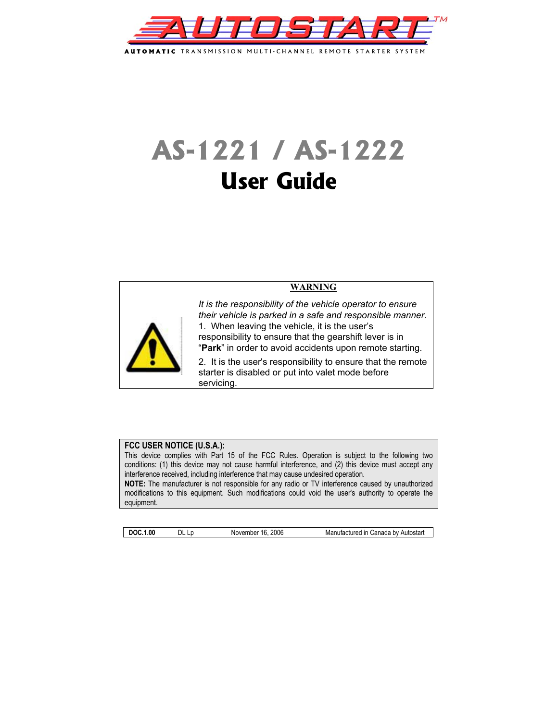

# **AS-1221 / AS-1222 User Guide**



# **FCC USER NOTICE (U.S.A.):**

This device complies with Part 15 of the FCC Rules. Operation is subject to the following two conditions: (1) this device may not cause harmful interference, and (2) this device must accept any interference received, including interference that may cause undesired operation. **NOTE:** The manufacturer is not responsible for any radio or TV interference caused by unauthorized modifications to this equipment. Such modifications could void the user's authority to operate the equipment.

**DOC.1.00** DL Lp November 16, 2006 Manufactured in Canada by Autostart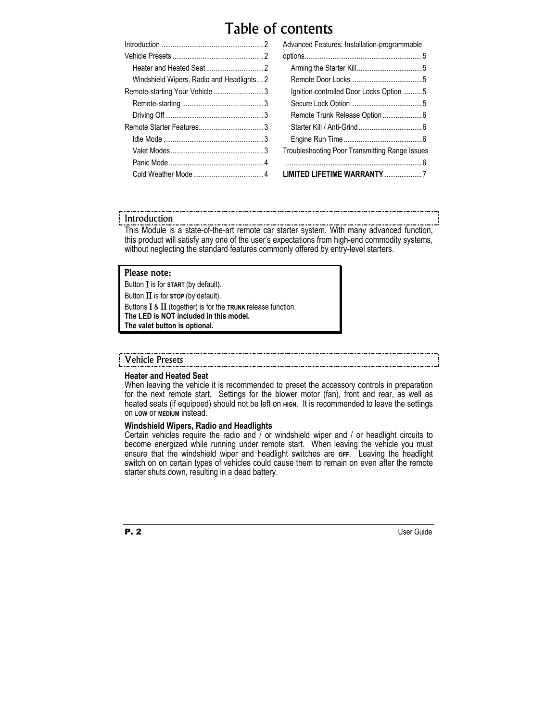# Table of contents

|                                          | Advanced Features: Installation-programmable   |  |
|------------------------------------------|------------------------------------------------|--|
|                                          |                                                |  |
|                                          |                                                |  |
| Windshield Wipers, Radio and Headlights2 |                                                |  |
| Remote-starting Your Vehicle 3           | Ignition-controlled Door Locks Option 5        |  |
|                                          |                                                |  |
|                                          |                                                |  |
|                                          |                                                |  |
|                                          |                                                |  |
|                                          | Troubleshooting Poor Transmitting Range Issues |  |
|                                          |                                                |  |
|                                          |                                                |  |

# Introduction

\_\_\_\_\_\_\_\_\_\_\_\_\_\_\_\_\_\_\_\_\_\_\_\_\_\_\_\_\_\_ This Module is a state-of-the-art remote car starter system. With many advanced function, this product will satisfy any one of the user's expectations from high-end commodity systems, without neglecting the standard features commonly offered by entry-level starters.

# Please note:

Button Ι is for **START** (by default). Button ΙΙ is for **STOP** (by default). Buttons Ι & ΙΙ (together) is for the **TRUNK** release function. **The LED is NOT included in this model. The valet button is optional.** 

# Vehicle Presets

#### **Heater and Heated Seat**

When leaving the vehicle it is recommended to preset the accessory controls in preparation for the next remote start. Settings for the blower motor (fan), front and rear, as well as heated seats (if equipped) should not be left on **HIGH.** It is recommended to leave the settings on **LOW** or **MEDIUM** instead.

# **Windshield Wipers, Radio and Headlights**

Certain vehicles require the radio and / or windshield wiper and / or headlight circuits to become energized while running under remote start. When leaving the vehicle you must ensure that the windshield wiper and headlight switches are **OFF**. Leaving the headlight switch on on certain types of vehicles could cause them to remain on even after the remote starter shuts down, resulting in a dead battery.



**P. 2** User Guide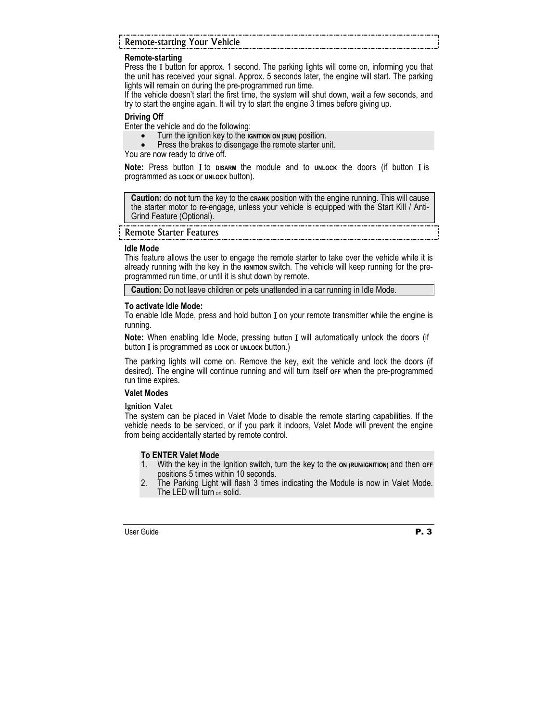| <b>Remote-starting Your Vehicle</b> |  |
|-------------------------------------|--|

# **Remote-starting**

Press the Ι button for approx. 1 second. The parking lights will come on, informing you that the unit has received your signal. Approx. 5 seconds later, the engine will start. The parking lights will remain on during the pre-programmed run time.

If the vehicle doesn't start the first time, the system will shut down, wait a few seconds, and try to start the engine again. It will try to start the engine 3 times before giving up.

#### **Driving Off**

Enter the vehicle and do the following:

- Turn the ignition key to the **IGNITION ON (RUN)** position.<br>• Press the brakes to disengage the remote starter un
- Press the brakes to disengage the remote starter unit.

You are now ready to drive off.

**Note:** Press button Ι to **DISARM** the module and to **UNLOCK** the doors (if button Ι is programmed as **LOCK** or **UNLOCK** button).

**Caution:** do **not** turn the key to the **CRANK** position with the engine running. This will cause the starter motor to re-engage, unless your vehicle is equipped with the Start Kill / Anti-Grind Feature (Optional).

Remote Starter Features

#### **Idle Mode**

This feature allows the user to engage the remote starter to take over the vehicle while it is already running with the key in the *IGNITION* switch. The vehicle will keep running for the preprogrammed run time, or until it is shut down by remote.

**Caution:** Do not leave children or pets unattended in a car running in Idle Mode.

#### **To activate Idle Mode:**

To enable Idle Mode, press and hold button I on your remote transmitter while the engine is running.

**Note:** When enabling Idle Mode, pressing button Ι will automatically unlock the doors (if button Ι is programmed as **LOCK** or **UNLOCK** button.)

The parking lights will come on. Remove the key, exit the vehicle and lock the doors (if desired). The engine will continue running and will turn itself **OFF** when the pre-programmed run time expires.

# **Valet Modes**

Ignition Valet

The system can be placed in Valet Mode to disable the remote starting capabilities. If the vehicle needs to be serviced, or if you park it indoors, Valet Mode will prevent the engine from being accidentally started by remote control.

# **To ENTER Valet Mode**

- 1. With the key in the Ignition switch, turn the key to the on (RUN/IGNITION) and then oFF positions 5 times within 10 seconds.
- 2. The Parking Light will flash 3 times indicating the Module is now in Valet Mode. The LED will turn on solid.

User Guide **P. 3**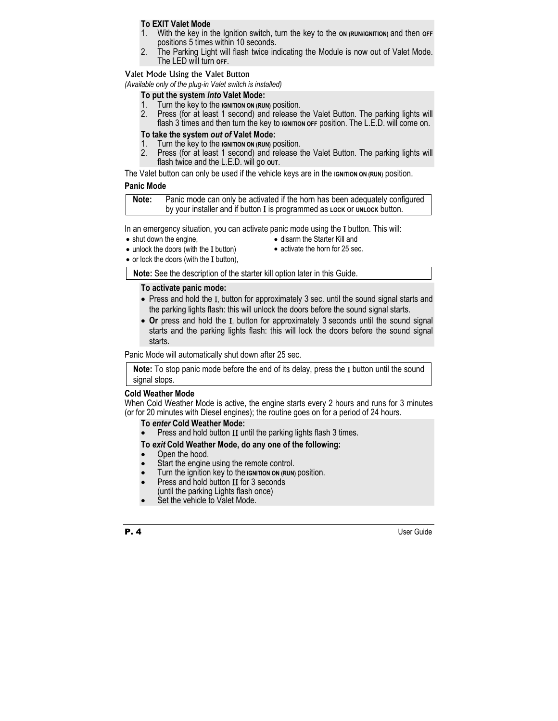# **To EXIT Valet Mode**

- 1. With the key in the Ignition switch, turn the key to the **ON (RUN/IGNITION)** and then **OFF**  positions 5 times within 10 seconds.
- 2. The Parking Light will flash twice indicating the Module is now out of Valet Mode. The LED will turn **OFF**.

#### Valet Mode Using the Valet Button

*(Available only of the plug-in Valet switch is installed)* 

# **To put the system** *into* **Valet Mode:**

- 1. Turn the key to the **IGNITION ON (RUN)** position.<br>2. Press (for at least 1 second) and release t
- Press (for at least 1 second) and release the Valet Button. The parking lights will flash 3 times and then turn the key to **IGNITION OFF** position. The L.E.D. will come on.

# **To take the system** *out of* **Valet Mode:**

- 1. Turn the key to the **IGNITION ON (RUN)** position.<br>2. Press (for at least 1 second) and release t
- Press (for at least 1 second) and release the Valet Button. The parking lights will flash twice and the L.E.D. will go **OUT**.

The Valet button can only be used if the vehicle keys are in the **IGNITION** ON (RUN) position.

# **Panic Mode**

| Note: | Panic mode can only be activated if the horn has been adequately configured |
|-------|-----------------------------------------------------------------------------|
|       | by your installer and if button I is programmed as LOCK OF UNLOCK button.   |

In an emergency situation, you can activate panic mode using the I button. This will:

- shut down the engine,
- disarm the Starter Kill and
- unlock the doors (with the I button)
- activate the horn for 25 sec.
- or lock the doors (with the I button),

**Note:** See the description of the starter kill option later in this Guide.

### **To activate panic mode:**

- Press and hold the I, button for approximately 3 sec. until the sound signal starts and the parking lights flash: this will unlock the doors before the sound signal starts.
- **Or** press and hold the Ι, button for approximately 3 seconds until the sound signal starts and the parking lights flash: this will lock the doors before the sound signal starts.

Panic Mode will automatically shut down after 25 sec.

**Note:** To stop panic mode before the end of its delay, press the Ι button until the sound signal stops.

#### **Cold Weather Mode**

When Cold Weather Mode is active, the engine starts every 2 hours and runs for 3 minutes (or for 20 minutes with Diesel engines); the routine goes on for a period of 24 hours.

#### **To** *enter* **Cold Weather Mode:**

Press and hold button II until the parking lights flash 3 times.

#### **To** *exit* **Cold Weather Mode, do any one of the following:**

- Open the hood.
- Start the engine using the remote control.
- Turn the ignition key to the **IGNITION ON (RUN)** position.
- Press and hold button ΙΙ for 3 seconds (until the parking Lights flash once)
- Set the vehicle to Valet Mode.



**P. 4** User Guide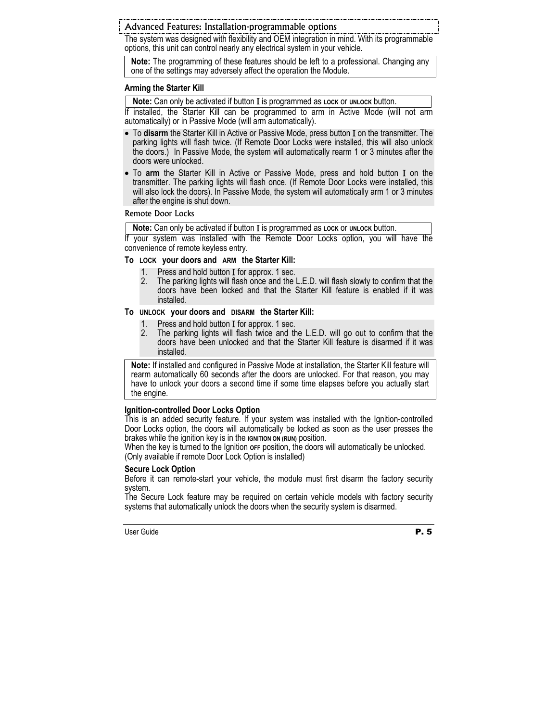Advanced Features: Installation-programmable options

The system was designed with flexibility and OEM integration in mind. With its programmable options, this unit can control nearly any electrical system in your vehicle.

**Note:** The programming of these features should be left to a professional. Changing any one of the settings may adversely affect the operation the Module.

#### **Arming the Starter Kill**

**Note:** Can only be activated if button Ι is programmed as **LOCK** or **UNLOCK** button.

If installed, the Starter Kill can be programmed to arm in Active Mode (will not arm automatically) or in Passive Mode (will arm automatically).

- To **disarm** the Starter Kill in Active or Passive Mode, press button Ι on the transmitter. The parking lights will flash twice. (If Remote Door Locks were installed, this will also unlock the doors.) In Passive Mode, the system will automatically rearm 1 or 3 minutes after the doors were unlocked.
- To **arm** the Starter Kill in Active or Passive Mode, press and hold button Ι on the transmitter. The parking lights will flash once. (If Remote Door Locks were installed, this will also lock the doors). In Passive Mode, the system will automatically arm 1 or 3 minutes after the engine is shut down.

Remote Door Locks

**Note:** Can only be activated if button Ι is programmed as **LOCK** or **UNLOCK** button.

If your system was installed with the Remote Door Locks option, you will have the convenience of remote keyless entry.

# **To LOCK your doors and ARM the Starter Kill:**

- 
- 1. Press and hold button Ι for approx. 1 sec. 2. The parking lights will flash once and the L.E.D. will flash slowly to confirm that the doors have been locked and that the Starter Kill feature is enabled if it was installed.

### **To UNLOCK your doors and DISARM the Starter Kill:**

- 1. Press and hold button Ι for approx. 1 sec.
- 2. The parking lights will flash twice and the L.E.D. will go out to confirm that the doors have been unlocked and that the Starter Kill feature is disarmed if it was installed.

**Note:** If installed and configured in Passive Mode at installation, the Starter Kill feature will rearm automatically 60 seconds after the doors are unlocked. For that reason, you may have to unlock your doors a second time if some time elapses before you actually start the engine.

# **Ignition-controlled Door Locks Option**

This is an added security feature. If your system was installed with the Ignition-controlled Door Locks option, the doors will automatically be locked as soon as the user presses the brakes while the ignition key is in the **IGNITION ON (RUN)** position.

When the key is turned to the Ignition or Fposition, the doors will automatically be unlocked. (Only available if remote Door Lock Option is installed)

#### **Secure Lock Option**

Before it can remote-start your vehicle, the module must first disarm the factory security system.

The Secure Lock feature may be required on certain vehicle models with factory security systems that automatically unlock the doors when the security system is disarmed.

User Guide **P. 5**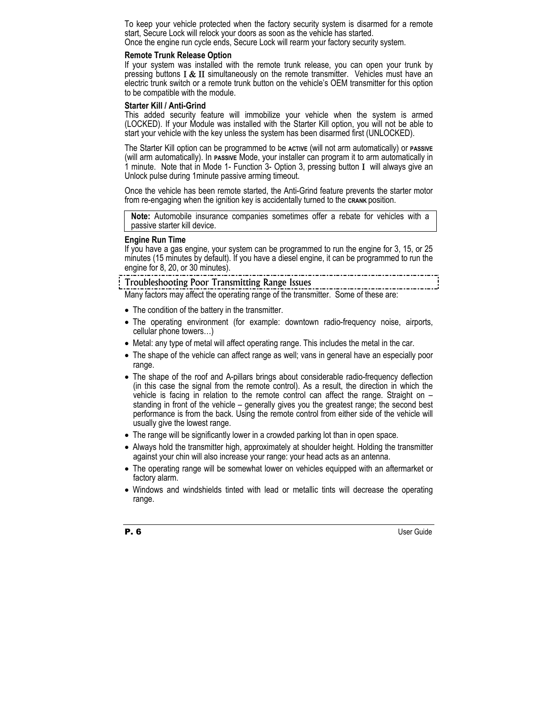To keep your vehicle protected when the factory security system is disarmed for a remote start, Secure Lock will relock your doors as soon as the vehicle has started. Once the engine run cycle ends, Secure Lock will rearm your factory security system.

#### **Remote Trunk Release Option**

If your system was installed with the remote trunk release, you can open your trunk by pressing buttons  $I \& II$  simultaneously on the remote transmitter. Vehicles must have an electric trunk switch or a remote trunk button on the vehicle's OEM transmitter for this option to be compatible with the module.

### **Starter Kill / Anti-Grind**

This added security feature will immobilize your vehicle when the system is armed (LOCKED). If your Module was installed with the Starter Kill option, you will not be able to start your vehicle with the key unless the system has been disarmed first (UNLOCKED).

The Starter Kill option can be programmed to be **ACTIVE** (will not arm automatically) or **PASSIVE** (will arm automatically). In **PASSIVE** Mode, your installer can program it to arm automatically in 1 minute. Note that in Mode 1- Function 3- Option 3, pressing button Ι will always give an Unlock pulse during 1minute passive arming timeout.

Once the vehicle has been remote started, the Anti-Grind feature prevents the starter motor from re-engaging when the ignition key is accidentally turned to the **CRANK** position.

**Note:** Automobile insurance companies sometimes offer a rebate for vehicles with a passive starter kill device.

#### **Engine Run Time**

If you have a gas engine, your system can be programmed to run the engine for 3, 15, or 25 minutes (15 minutes by default). If you have a diesel engine, it can be programmed to run the engine for 8, 20, or 30 minutes).

# Troubleshooting Poor Transmitting Range Issues

Many factors may affect the operating range of the transmitter. Some of these are:

- The condition of the battery in the transmitter.
- The operating environment (for example: downtown radio-frequency noise, airports, cellular phone towers…)
- Metal: any type of metal will affect operating range. This includes the metal in the car.
- The shape of the vehicle can affect range as well; vans in general have an especially poor range.
- The shape of the roof and A-pillars brings about considerable radio-frequency deflection (in this case the signal from the remote control). As a result, the direction in which the vehicle is facing in relation to the remote control can affect the range. Straight on – standing in front of the vehicle – generally gives you the greatest range; the second best performance is from the back. Using the remote control from either side of the vehicle will usually give the lowest range.
- The range will be significantly lower in a crowded parking lot than in open space.
- Always hold the transmitter high, approximately at shoulder height. Holding the transmitter against your chin will also increase your range: your head acts as an antenna.
- The operating range will be somewhat lower on vehicles equipped with an aftermarket or factory alarm.
- Windows and windshields tinted with lead or metallic tints will decrease the operating range.

P. 6 User Guide Communications and the User Guide Communications of the User Guide Communications of the User Guide